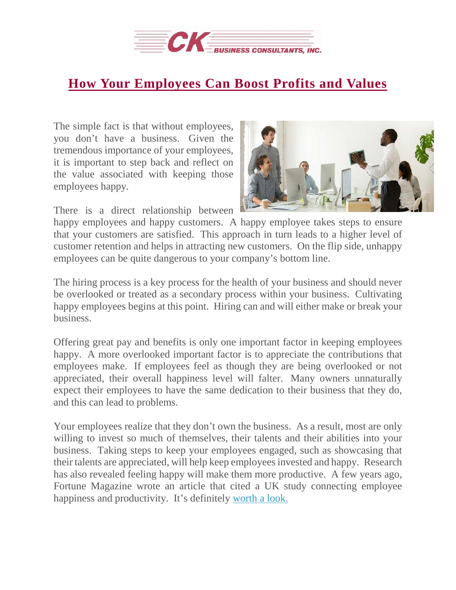

## **How Your [Employees](https://deal-studio.com/how-your-employees-can-boost-profits-and-values/) Can Boost Profits and Values**

The simple fact is that without employees, you don't have a business. Given the tremendous importance of your employees, it is important to step back and reflect on the value associated with keeping those employees happy.

There is a direct relationship between



happy employees and happy customers. A happy employee takes steps to ensure that your customers are satisfied. This approach in turn leads to a higher level of customer retention and helps in attracting new customers. On the flip side, unhappy employees can be quite dangerous to your company's bottom line.

The hiring process is a key process for the health of your business and should never be overlooked or treated as a secondary process within your business. Cultivating happy employees begins at this point. Hiring can and will either make or break your business.

Offering great pay and benefits is only one important factor in keeping employees happy. A more overlooked important factor is to appreciate the contributions that employees make. If employees feel as though they are being overlooked or not appreciated, their overall happiness level will falter. Many owners unnaturally expect their employees to have the same dedication to their business that they do, and this can lead to problems.

Your employees realize that they don't own the business. As a result, most are only willing to invest so much of themselves, their talents and their abilities into your business. Taking steps to keep your employees engaged, such as showcasing that their talents are appreciated, will help keep employeesinvested and happy. Research has also revealed feeling happy will make them more productive. A few years ago, Fortune Magazine wrote an article that cited a UK study connecting employee happiness and productivity. It's definitely [worth](http://fortune.com/2015/10/29/happy-productivity-work/) a look.